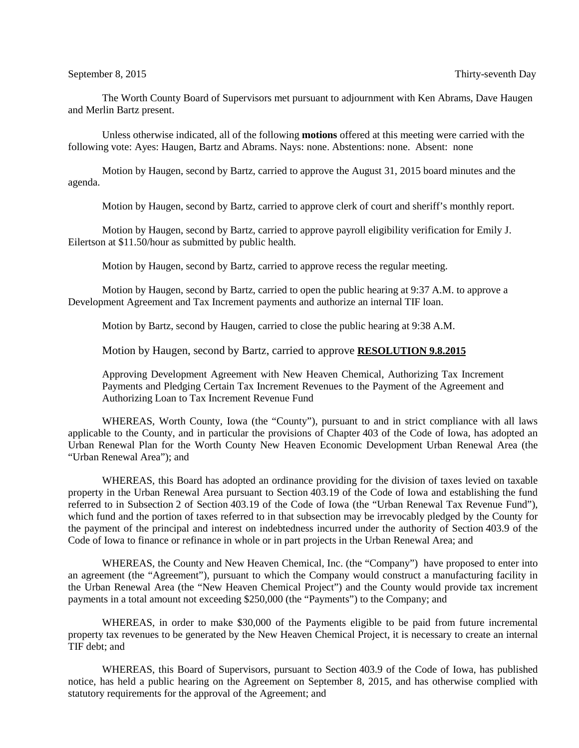The Worth County Board of Supervisors met pursuant to adjournment with Ken Abrams, Dave Haugen and Merlin Bartz present.

Unless otherwise indicated, all of the following **motions** offered at this meeting were carried with the following vote: Ayes: Haugen, Bartz and Abrams. Nays: none. Abstentions: none. Absent: none

Motion by Haugen, second by Bartz, carried to approve the August 31, 2015 board minutes and the agenda.

Motion by Haugen, second by Bartz, carried to approve clerk of court and sheriff's monthly report.

Motion by Haugen, second by Bartz, carried to approve payroll eligibility verification for Emily J. Eilertson at \$11.50/hour as submitted by public health.

Motion by Haugen, second by Bartz, carried to approve recess the regular meeting.

Motion by Haugen, second by Bartz, carried to open the public hearing at 9:37 A.M. to approve a Development Agreement and Tax Increment payments and authorize an internal TIF loan.

Motion by Bartz, second by Haugen, carried to close the public hearing at 9:38 A.M.

Motion by Haugen, second by Bartz, carried to approve **RESOLUTION 9.8.2015**

Approving Development Agreement with New Heaven Chemical, Authorizing Tax Increment Payments and Pledging Certain Tax Increment Revenues to the Payment of the Agreement and Authorizing Loan to Tax Increment Revenue Fund

WHEREAS, Worth County, Iowa (the "County"), pursuant to and in strict compliance with all laws applicable to the County, and in particular the provisions of Chapter 403 of the Code of Iowa, has adopted an Urban Renewal Plan for the Worth County New Heaven Economic Development Urban Renewal Area (the "Urban Renewal Area"); and

WHEREAS, this Board has adopted an ordinance providing for the division of taxes levied on taxable property in the Urban Renewal Area pursuant to Section 403.19 of the Code of Iowa and establishing the fund referred to in Subsection 2 of Section 403.19 of the Code of Iowa (the "Urban Renewal Tax Revenue Fund"), which fund and the portion of taxes referred to in that subsection may be irrevocably pledged by the County for the payment of the principal and interest on indebtedness incurred under the authority of Section 403.9 of the Code of Iowa to finance or refinance in whole or in part projects in the Urban Renewal Area; and

WHEREAS, the County and New Heaven Chemical, Inc. (the "Company") have proposed to enter into an agreement (the "Agreement"), pursuant to which the Company would construct a manufacturing facility in the Urban Renewal Area (the "New Heaven Chemical Project") and the County would provide tax increment payments in a total amount not exceeding \$250,000 (the "Payments") to the Company; and

WHEREAS, in order to make \$30,000 of the Payments eligible to be paid from future incremental property tax revenues to be generated by the New Heaven Chemical Project, it is necessary to create an internal TIF debt; and

WHEREAS, this Board of Supervisors, pursuant to Section 403.9 of the Code of Iowa, has published notice, has held a public hearing on the Agreement on September 8, 2015, and has otherwise complied with statutory requirements for the approval of the Agreement; and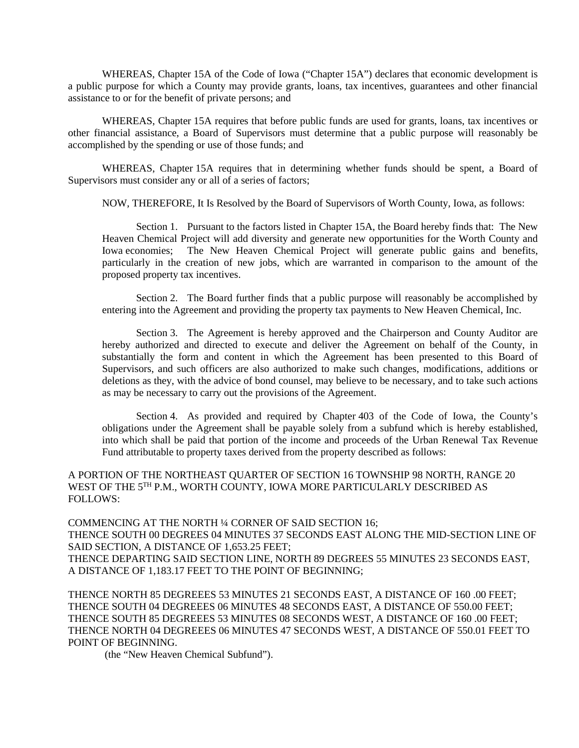WHEREAS, Chapter 15A of the Code of Iowa ("Chapter 15A") declares that economic development is a public purpose for which a County may provide grants, loans, tax incentives, guarantees and other financial assistance to or for the benefit of private persons; and

WHEREAS, Chapter 15A requires that before public funds are used for grants, loans, tax incentives or other financial assistance, a Board of Supervisors must determine that a public purpose will reasonably be accomplished by the spending or use of those funds; and

WHEREAS, Chapter 15A requires that in determining whether funds should be spent, a Board of Supervisors must consider any or all of a series of factors;

NOW, THEREFORE, It Is Resolved by the Board of Supervisors of Worth County, Iowa, as follows:

Section 1. Pursuant to the factors listed in Chapter 15A, the Board hereby finds that: The New Heaven Chemical Project will add diversity and generate new opportunities for the Worth County and Iowa economies; The New Heaven Chemical Project will generate public gains and benefits, particularly in the creation of new jobs, which are warranted in comparison to the amount of the proposed property tax incentives.

Section 2. The Board further finds that a public purpose will reasonably be accomplished by entering into the Agreement and providing the property tax payments to New Heaven Chemical, Inc.

Section 3. The Agreement is hereby approved and the Chairperson and County Auditor are hereby authorized and directed to execute and deliver the Agreement on behalf of the County, in substantially the form and content in which the Agreement has been presented to this Board of Supervisors, and such officers are also authorized to make such changes, modifications, additions or deletions as they, with the advice of bond counsel, may believe to be necessary, and to take such actions as may be necessary to carry out the provisions of the Agreement.

Section 4. As provided and required by Chapter 403 of the Code of Iowa, the County's obligations under the Agreement shall be payable solely from a subfund which is hereby established, into which shall be paid that portion of the income and proceeds of the Urban Renewal Tax Revenue Fund attributable to property taxes derived from the property described as follows:

A PORTION OF THE NORTHEAST QUARTER OF SECTION 16 TOWNSHIP 98 NORTH, RANGE 20 WEST OF THE 5TH P.M., WORTH COUNTY, IOWA MORE PARTICULARLY DESCRIBED AS FOLLOWS:

COMMENCING AT THE NORTH ¼ CORNER OF SAID SECTION 16; THENCE SOUTH 00 DEGREES 04 MINUTES 37 SECONDS EAST ALONG THE MID-SECTION LINE OF SAID SECTION, A DISTANCE OF 1,653.25 FEET; THENCE DEPARTING SAID SECTION LINE, NORTH 89 DEGREES 55 MINUTES 23 SECONDS EAST, A DISTANCE OF 1,183.17 FEET TO THE POINT OF BEGINNING;

THENCE NORTH 85 DEGREEES 53 MINUTES 21 SECONDS EAST, A DISTANCE OF 160 .00 FEET; THENCE SOUTH 04 DEGREEES 06 MINUTES 48 SECONDS EAST, A DISTANCE OF 550.00 FEET; THENCE SOUTH 85 DEGREEES 53 MINUTES 08 SECONDS WEST, A DISTANCE OF 160 .00 FEET; THENCE NORTH 04 DEGREEES 06 MINUTES 47 SECONDS WEST, A DISTANCE OF 550.01 FEET TO POINT OF BEGINNING.

(the "New Heaven Chemical Subfund").